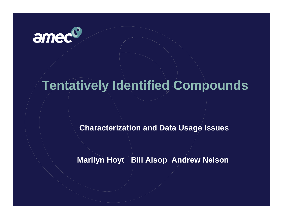

# **Tentatively Identified Compounds**

**Characterization and Data Usage Issues**

**Marilyn Hoyt Bill Alsop Andrew Nelson**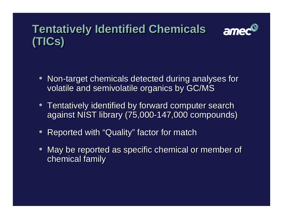#### **Tentatively Identified Chemicals Tentatively Identified Chemicals** amed **(TICs) (TICs)**

- • Non-target chemicals detected during analyses for Non-target chemicals detected during analyses for volatile and semivolatile organics by GC/MS volatile and semivolatile organics by GC/MS •
- • Tentatively identified by forward computer search Tentatively identified by forward computer search against NIST library (75,000-147,000 compounds) against NIST library (75,000-147,000 compounds) •
- $\bullet$ Reported with "Quality" factor for match Reported with "Quality" factor for match
- • May be reported as specific chemical or member of May be reported as specific chemical or member of chemical family chemical family**•**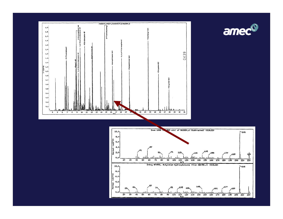



ameco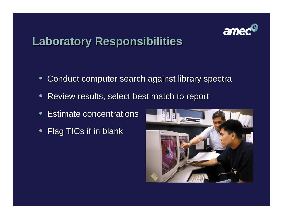

# **Laboratory Responsibilities Laboratory Responsibilities**

- Conduct computer search against library spectra Conduct computer search against library spectra
- $\bullet$ Review results, select best match to report Review results, select best match to report
- $\bullet$ Estimate concentrations Estimate concentrations
- $\bullet$ Flag TICs if in blank Flag TICs if in blank

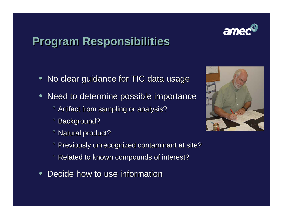# **Program Responsibilities Program Responsibilities**

- $\bullet$ No clear guidance for TIC data usage No clear guidance for TIC data usage
- • Need to determine possible importance Need to determine possible importance **•** 
	- ° Artifact from sampling or analysis? ° Artifact from sampling or analysis?
	- ° Background? Background?  $\mathbf o$
	- ° Natural product? ° Natural product?
	- ° Previously unrecognized contaminant at site? ° Previously unrecognized contaminant at site?
	- ° Related to known compounds of interest? Related to known compounds of interest?  $\mathbf o$
- $\bullet$ • Decide how to use information



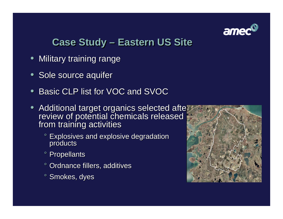

#### **Case Study – Eastern US Site Case Study – Eastern US Site**

- • Military training range Military training range **•**
- Sole source aquifer Sole source aquifer
- •• Basic CLP list for VOC and SVOC **•**
- $\bullet$  $\bullet$  Additional target organics selected after review of potential chemicals released from training activities • Additional target organics selected after review of potential chemicals released from training activities
	- ° Explosives and explosive degradation ° Explosives and explosive degradation products products
	- ° Propellants ° Propellants
	- ° Ordnance fillers, additives ° Ordnance fillers, additives
	- ° Smokes, dyes ° Smokes, dyes

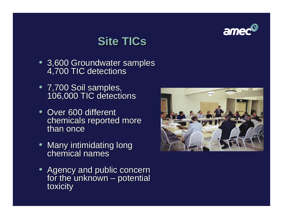

### **Site TICs Site TICs**

- 3,600 Groundwater samples 4,700 TIC detections • 3,600 Groundwater samples 4,700 TIC detections
- 7,700 Soil samples, 106,000 TIC detections • 7,700 Soil samples, 106,000 TIC detections
- Over 600 different Over 600 different chemicals reported more chemicals reported more than once
- Many intimidating long Many intimidating long chemical names
- Agency and public concern Agency and public concern for the unknown – potential for the unknown – potential toxicity toxicity

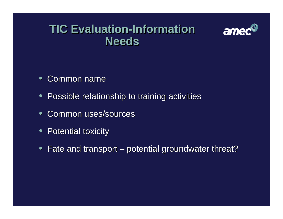#### **TIC Evaluation-InformationTIC Evaluation-Information NeedsNeeds**



- $\bullet$ Common name Common name
- Possible relationship to training activities Possible relationship to training activities
- $\bullet$ • Common uses/sources
- Potential toxicity Potential toxicity
- $\bullet$ Fate and transport – potential groundwater threat? Fate and transport – potential groundwater threat?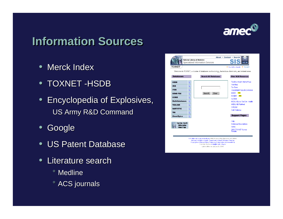

#### **Information Sources Information Sources**

- Merck Index
- $\bullet$  TOXNET -HSDB
- $\bullet$  Encyclopedia of Explosives, Encyclopedia of Explosives, US Army R&D Command US Army R&D Command
- $\bullet$ Google Google
- US Patent Database
- $\bullet$ • Literature search
	- ° Medline° Medline
	- ° ACS journals ° ACS journals

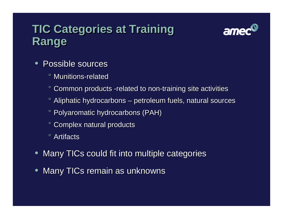### **TIC Categories at Training TIC Categories at Training Range Range**



- Possible sources
	- ° Munitions-related° Munitions-related
	- ° Common products -related to non-training site activities ° Common products -related to non-training site activities
	- ° Aliphatic hydrocarbons petroleum fuels, natural sources ° Aliphatic hydrocarbons petroleum fuels, natural sources
	- ° Polyaromatic hydrocarbons (PAH) ° Polyaromatic hydrocarbons (PAH)
	- ° Complex natural products ° Complex natural products
	- ° Artifacts° Artifacts
- Many TICs could fit into multiple categories Many TICs could fit into multiple categories
- Many TICs remain as unknowns Many TICs remain as unknowns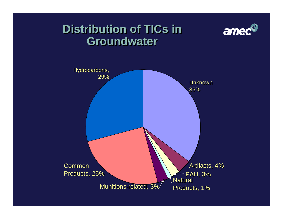#### **Distribution of TICs in Groundwater Groundwater**



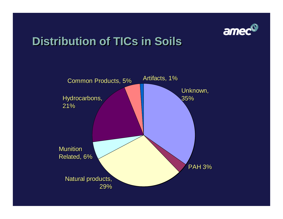

# **Distribution of TICs in Soils Distribution of TICs in Soils**

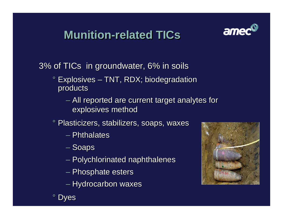### **Munition-related TICs Munition-related TICs**



3% of TICs in groundwater, 6% in soils 3% of TICs in groundwater, 6% in soils

- ° Explosives TNT, RDX; biodegradation ° Explosives TNT, RDX; biodegradation products products
	- – All reported are current target analytes for explosives method explosives method  $\mathcal{L}_{\mathcal{A}}$  , and the set of the set of the set of the set of the set of the set of the set of the set of the set of the set of the set of the set of the set of the set of the set of the set of the set of the set of th All reported are current target analytes for
- ° Plasticizers, stabilizers, soaps, waxes ° Plasticizers, stabilizers, soaps, waxes
	- Phthalates
	- – Soaps  $\mathcal{L}_{\mathcal{A}}$  , and the set of the set of the set of the set of the set of the set of the set of the set of the set of the set of the set of the set of the set of the set of the set of the set of the set of the set of th – Soaps
	- –– Polychlorinated naphthalenes Polychlorinated naphthalenes
	- –– Phosphate esters – Phosphate esters
	- –– Hydrocarbon waxes – Hydrocarbon waxes



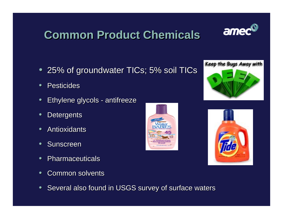### **Common Product Chemicals Common Product Chemicals**

- $\bullet$ 25% of groundwater TICs; 5% soil TICs 25% of groundwater TICs; 5% soil TICs
- $\bullet$ • Pesticides
- $\bullet$ Ethylene glycols - antifreeze Ethylene glycols - antifreeze
- $\bullet$ Detergents Detergents
- $\bullet$ • Antioxidants
- $\bullet$ • Sunscreen
- $\bullet$ • Pharmaceuticals
- $\bullet$ • Common solvents
- $\bullet$ Several also found in USGS survey of surface waters Several also found in USGS survey of surface waters





Keep the Bugs Away with



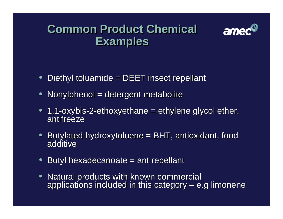#### **Common Product Chemical Common Product Chemical Examples Examples**



- $\bullet$ Diethyl toluamide = DEET insect repellant Diethyl toluamide = DEET insect repellant
- • Nonylphenol = detergent metabolite Nonylphenol = detergent metabolite **•**
- • 1,1-oxybis-2-ethoxyethane = ethylene glycol ether, 1,1-oxybis-2-ethoxyethane = ethylene glycol ether, antifreeze **•**
- • Butylated hydroxytoluene = BHT, antioxidant, food Butylated hydroxytoluene = BHT, antioxidant, food additive **•**
- $\bullet$ ● Butyl hexadecanoate = ant repellant<br>● Natural products with known comme
- • Natural products with known commercial Natural products with known commercial applications included in this category – e.g limonene applications included in this category – e.g limonene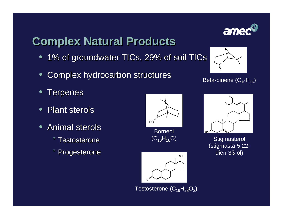# **Complex Natural Products Complex Natural Products**

- 1% of groundwater TICs, 29% of soil TICs 1% of groundwater TICs, 29% of soil TICs
- $\bullet$ Complex hydrocarbon structures Complex hydrocarbon structures
- • Terpenes Terpenes **•**
- $\bullet$ • Plant sterols
- $\bullet$ • Animal sterols
	- °° Testosterone  $\mathbf o$
	- ° Progesterone Progesterone  $\mathbf o$





#### Beta-pinene (C<sub>10</sub>H<sub>16</sub>)



**Stigmasterol** (stigmasta-5,22 dien-3ß-ol)



Testosterone ( $\mathsf{C}_{19}\mathsf{H}_{28}\mathsf{O}_2$ )

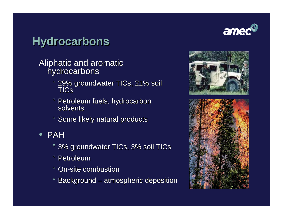# amed

### **Hydrocarbons Hydrocarbons**

- Aliphatic and aromatic Aliphatic and aromatic hydrocarbons hydrocarbons
	- ° 29% groundwater TICs, 21% soil ° 29% groundwater TICs, 21% soil TICs
	- °° Petroleum fuels, hydrocarbon Petroleum fuels, hydrocarbon solvents
	- ° Some likely natural products ° Some likely natural products

#### • PAH• PAH

- ° 3% groundwater TICs, 3% soil TICs ° 3% groundwater TICs, 3% soil TICs
- ° Petroleum° Petroleum
- ° On-site combustion° On-site combustion
- ° $\,^\circ$  Background – atmospheric deposition  $\mathbf o$



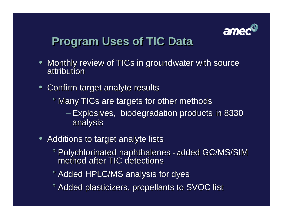

# **Program Uses of TIC Data Program Uses of TIC Data**

- • Monthly review of TICs in groundwater with source Monthly review of TICs in groundwater with source attribution **•**
- $\bullet$  Confirm target analyte results Confirm target analyte results
	- ° Many TICs are targets for other methods ° Many TICs are targets for other methods
		- – Explosives, biodegradation products in 8330 analysis analysis Explosives, biodegradation products in 8330
- Additions to target analyte lists Additions to target analyte lists
	- ° Polychlorinated naphthalenes added GC/MS/SIM ° Polychlorinated naphthalenes added GC/MS/SIM method after TIC detections
	- ° Added HPLC/MS analysis for dyes ° Added HPLC/MS analysis for dyes
	- ° Added plasticizers, propellants to SVOC list ° Added plasticizers, propellants to SVOC list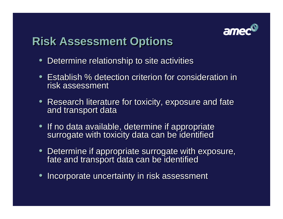

### **Risk Assessment Options Risk Assessment Options**

- $\bullet$ Determine relationship to site activities Determine relationship to site activities
- Establish % detection criterion for consideration in risk assessment risk assessment
- Research literature for toxicity, exposure and fate Research literature for toxicity, exposure and fate and transport data and transport data
- If no data available, determine if appropriate If no data available, determine if appropriate surrogate with toxicity data can be identified surrogate with toxicity data can be identified
- • Determine if appropriate surrogate with exposure, Determine if appropriate surrogate with exposure, fate and transport data can be identified fate and transport data can be identified **•**
- • $\bullet\,$  Incorporate uncertainty in risk assessment **•**